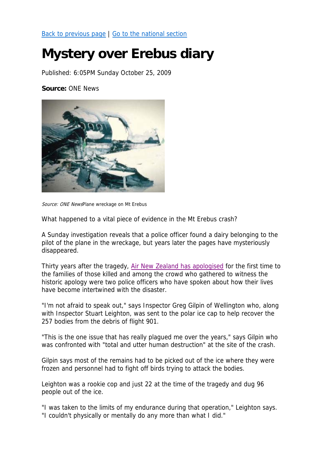Back to previous page | Go to the national section

## **Mystery over Erebus diary**

Published: 6:05PM Sunday October 25, 2009

**Source:** ONE News



Source: ONE NewsPlane wreckage on Mt Erebus

What happened to a vital piece of evidence in the Mt Erebus crash?

A Sunday investigation reveals that a police officer found a dairy belonging to the pilot of the plane in the wreckage, but years later the pages have mysteriously disappeared.

Thirty years after the tragedy, Air New Zealand has apologised for the first time to the families of those killed and among the crowd who gathered to witness the historic apology were two police officers who have spoken about how their lives have become intertwined with the disaster.

"I'm not afraid to speak out," says Inspector Greg Gilpin of Wellington who, along with Inspector Stuart Leighton, was sent to the polar ice cap to help recover the 257 bodies from the debris of flight 901.

"This is the one issue that has really plagued me over the years," says Gilpin who was confronted with "total and utter human destruction" at the site of the crash.

Gilpin says most of the remains had to be picked out of the ice where they were frozen and personnel had to fight off birds trying to attack the bodies.

Leighton was a rookie cop and just 22 at the time of the tragedy and dug 96 people out of the ice.

"I was taken to the limits of my endurance during that operation," Leighton says. "I couldn't physically or mentally do any more than what I did."